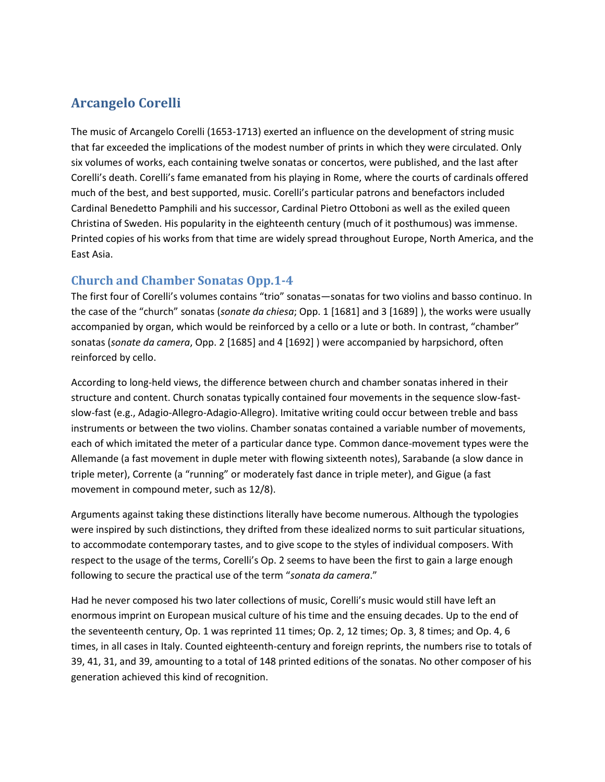# **Arcangelo Corelli**

The music of Arcangelo Corelli (1653-1713) exerted an influence on the development of string music that far exceeded the implications of the modest number of prints in which they were circulated. Only six volumes of works, each containing twelve sonatas or concertos, were published, and the last after Corelli's death. Corelli's fame emanated from his playing in Rome, where the courts of cardinals offered much of the best, and best supported, music. Corelli's particular patrons and benefactors included Cardinal Benedetto Pamphili and his successor, Cardinal Pietro Ottoboni as well as the exiled queen Christina of Sweden. His popularity in the eighteenth century (much of it posthumous) was immense. Printed copies of his works from that time are widely spread throughout Europe, North America, and the East Asia.

### **Church and Chamber Sonatas Opp.1-4**

The first four of Corelli's volumes contains "trio" sonatas—sonatas for two violins and basso continuo. In the case of the "church" sonatas (*sonate da chiesa*; Opp. 1 [1681] and 3 [1689] ), the works were usually accompanied by organ, which would be reinforced by a cello or a lute or both. In contrast, "chamber" sonatas (*sonate da camera*, Opp. 2 [1685] and 4 [1692] ) were accompanied by harpsichord, often reinforced by cello.

According to long-held views, the difference between church and chamber sonatas inhered in their structure and content. Church sonatas typically contained four movements in the sequence slow-fastslow-fast (e.g., Adagio-Allegro-Adagio-Allegro). Imitative writing could occur between treble and bass instruments or between the two violins. Chamber sonatas contained a variable number of movements, each of which imitated the meter of a particular dance type. Common dance-movement types were the Allemande (a fast movement in duple meter with flowing sixteenth notes), Sarabande (a slow dance in triple meter), Corrente (a "running" or moderately fast dance in triple meter), and Gigue (a fast movement in compound meter, such as 12/8).

Arguments against taking these distinctions literally have become numerous. Although the typologies were inspired by such distinctions, they drifted from these idealized norms to suit particular situations, to accommodate contemporary tastes, and to give scope to the styles of individual composers. With respect to the usage of the terms, Corelli's Op. 2 seems to have been the first to gain a large enough following to secure the practical use of the term "*sonata da camera*."

Had he never composed his two later collections of music, Corelli's music would still have left an enormous imprint on European musical culture of his time and the ensuing decades. Up to the end of the seventeenth century, Op. 1 was reprinted 11 times; Op. 2, 12 times; Op. 3, 8 times; and Op. 4, 6 times, in all cases in Italy. Counted eighteenth-century and foreign reprints, the numbers rise to totals of 39, 41, 31, and 39, amounting to a total of 148 printed editions of the sonatas. No other composer of his generation achieved this kind of recognition.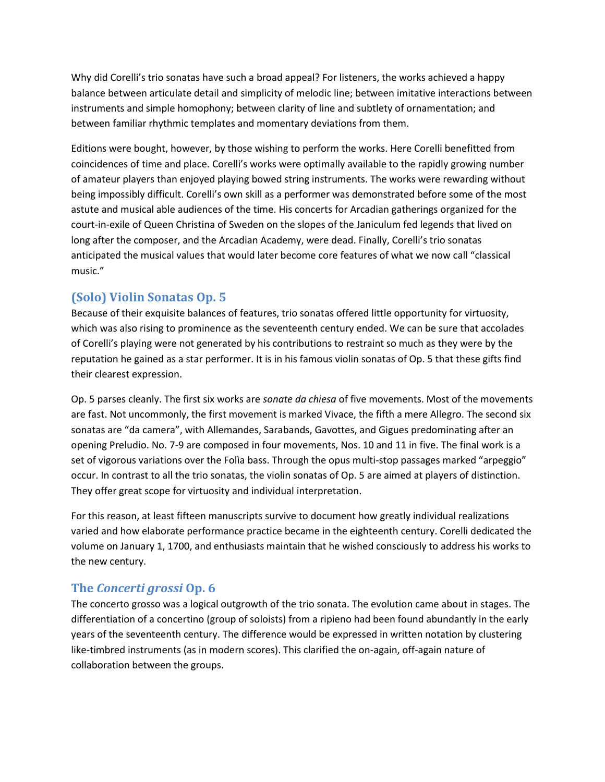Why did Corelli's trio sonatas have such a broad appeal? For listeners, the works achieved a happy balance between articulate detail and simplicity of melodic line; between imitative interactions between instruments and simple homophony; between clarity of line and subtlety of ornamentation; and between familiar rhythmic templates and momentary deviations from them.

Editions were bought, however, by those wishing to perform the works. Here Corelli benefitted from coincidences of time and place. Corelli's works were optimally available to the rapidly growing number of amateur players than enjoyed playing bowed string instruments. The works were rewarding without being impossibly difficult. Corelli's own skill as a performer was demonstrated before some of the most astute and musical able audiences of the time. His concerts for Arcadian gatherings organized for the court-in-exile of Queen Christina of Sweden on the slopes of the Janiculum fed legends that lived on long after the composer, and the Arcadian Academy, were dead. Finally, Corelli's trio sonatas anticipated the musical values that would later become core features of what we now call "classical music."

## **(Solo) Violin Sonatas Op. 5**

Because of their exquisite balances of features, trio sonatas offered little opportunity for virtuosity, which was also rising to prominence as the seventeenth century ended. We can be sure that accolades of Corelli's playing were not generated by his contributions to restraint so much as they were by the reputation he gained as a star performer. It is in his famous violin sonatas of Op. 5 that these gifts find their clearest expression.

Op. 5 parses cleanly. The first six works are *sonate da chiesa* of five movements. Most of the movements are fast. Not uncommonly, the first movement is marked Vivace, the fifth a mere Allegro. The second six sonatas are "da camera", with Allemandes, Sarabands, Gavottes, and Gigues predominating after an opening Preludio. No. 7-9 are composed in four movements, Nos. 10 and 11 in five. The final work is a set of vigorous variations over the Folìa bass. Through the opus multi-stop passages marked "arpeggio" occur. In contrast to all the trio sonatas, the violin sonatas of Op. 5 are aimed at players of distinction. They offer great scope for virtuosity and individual interpretation.

For this reason, at least fifteen manuscripts survive to document how greatly individual realizations varied and how elaborate performance practice became in the eighteenth century. Corelli dedicated the volume on January 1, 1700, and enthusiasts maintain that he wished consciously to address his works to the new century.

### **The** *Concerti grossi* **Op. 6**

The concerto grosso was a logical outgrowth of the trio sonata. The evolution came about in stages. The differentiation of a concertino (group of soloists) from a ripieno had been found abundantly in the early years of the seventeenth century. The difference would be expressed in written notation by clustering like-timbred instruments (as in modern scores). This clarified the on-again, off-again nature of collaboration between the groups.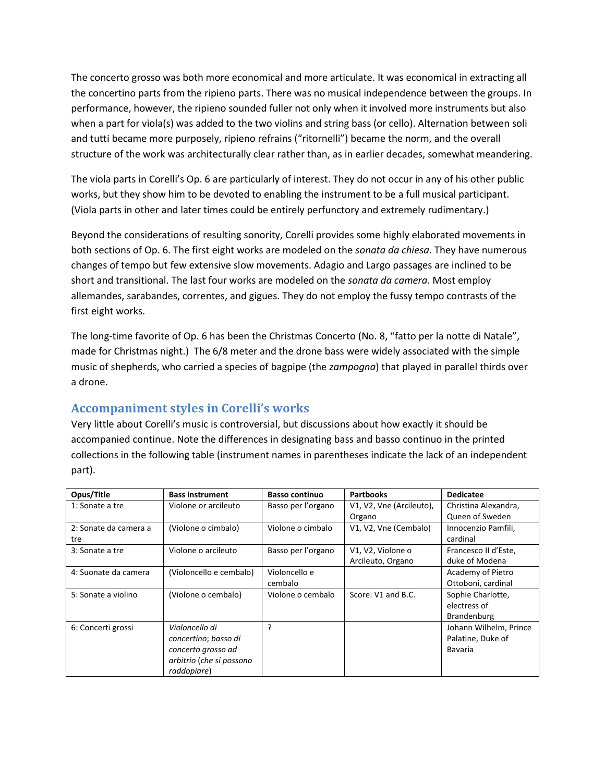The concerto grosso was both more economical and more articulate. It was economical in extracting all the concertino parts from the ripieno parts. There was no musical independence between the groups. In performance, however, the ripieno sounded fuller not only when it involved more instruments but also when a part for viola(s) was added to the two violins and string bass (or cello). Alternation between soli and tutti became more purposely, ripieno refrains ("ritornelli") became the norm, and the overall structure of the work was architecturally clear rather than, as in earlier decades, somewhat meandering.

The viola parts in Corelli's Op. 6 are particularly of interest. They do not occur in any of his other public works, but they show him to be devoted to enabling the instrument to be a full musical participant. (Viola parts in other and later times could be entirely perfunctory and extremely rudimentary.)

Beyond the considerations of resulting sonority, Corelli provides some highly elaborated movements in both sections of Op. 6. The first eight works are modeled on the *sonata da chiesa*. They have numerous changes of tempo but few extensive slow movements. Adagio and Largo passages are inclined to be short and transitional. The last four works are modeled on the *sonata da camera*. Most employ allemandes, sarabandes, correntes, and gigues. They do not employ the fussy tempo contrasts of the first eight works.

The long-time favorite of Op. 6 has been the Christmas Concerto (No. 8, "fatto per la notte di Natale", made for Christmas night.) The 6/8 meter and the drone bass were widely associated with the simple music of shepherds, who carried a species of bagpipe (the *zampogna*) that played in parallel thirds over a drone.

### **Accompaniment styles in Corelli's works**

Very little about Corelli's music is controversial, but discussions about how exactly it should be accompanied continue. Note the differences in designating bass and basso continuo in the printed collections in the following table (instrument names in parentheses indicate the lack of an independent part).

| Opus/Title            | <b>Bass instrument</b>   | <b>Basso continuo</b> | <b>Partbooks</b>         | <b>Dedicatee</b>       |
|-----------------------|--------------------------|-----------------------|--------------------------|------------------------|
| 1: Sonate a tre       | Violone or arcileuto     | Basso per l'organo    | V1, V2, Vne (Arcileuto), | Christina Alexandra,   |
|                       |                          |                       | Organo                   | Queen of Sweden        |
| 2: Sonate da camera a | (Violone o cimbalo)      | Violone o cimbalo     | V1, V2, Vne (Cembalo)    | Innocenzio Pamfili,    |
| tre                   |                          |                       |                          | cardinal               |
| 3: Sonate a tre       | Violone o arcileuto      | Basso per l'organo    | V1, V2, Violone o        | Francesco II d'Este,   |
|                       |                          |                       | Arcileuto, Organo        | duke of Modena         |
| 4: Suonate da camera  | (Violoncello e cembalo)  | Violoncello e         |                          | Academy of Pietro      |
|                       |                          | cembalo               |                          | Ottoboni, cardinal     |
| 5: Sonate a violino   | (Violone o cembalo)      | Violone o cembalo     | Score: V1 and B.C.       | Sophie Charlotte,      |
|                       |                          |                       |                          | electress of           |
|                       |                          |                       |                          | <b>Brandenburg</b>     |
| 6: Concerti grossi    | Violoncello di           | ?                     |                          | Johann Wilhelm, Prince |
|                       | concertino; basso di     |                       |                          | Palatine, Duke of      |
|                       | concerto grosso ad       |                       |                          | Bavaria                |
|                       | arbitrio (che si possono |                       |                          |                        |
|                       | raddopiare)              |                       |                          |                        |